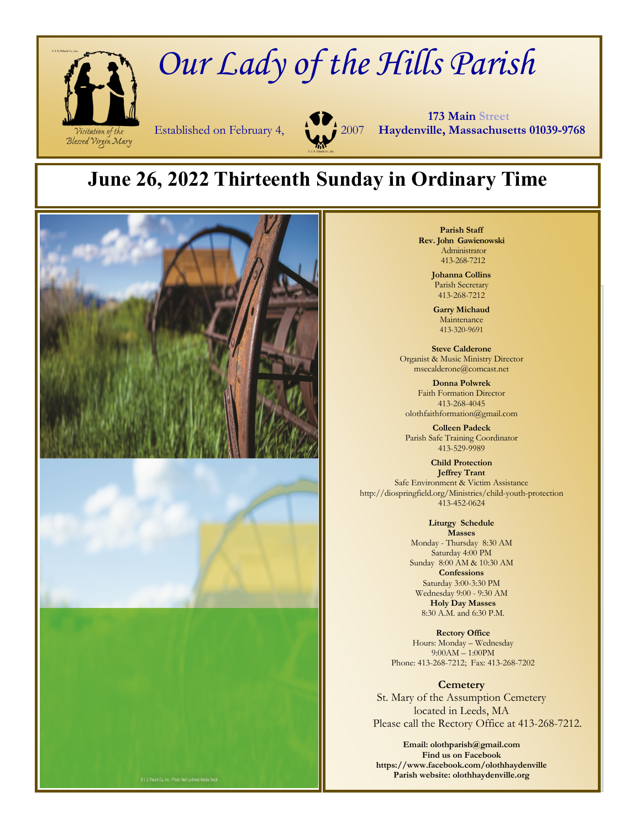

# *Our Lady of the Hills Parish*



 **173 Main Street** Established on February 4, 2007 **Haydenville, Massachusetts 01039-9768**

## **June 26, 2022 Thirteenth Sunday in Ordinary Time**



**Parish Staff Rev. John Gawienowski** Administrator 413-268-7212

> **Johanna Collins**  Parish Secretary 413-268-7212

**Garry Michaud**  Maintenance 413-320-9691

**Steve Calderone**  Organist & Music Ministry Director msecalderone@comcast.net

**Donna Polwrek**  Faith Formation Director 413-268-4045 olothfaithformation@gmail.com

**Colleen Padeck**  Parish Safe Training Coordinator 413-529-9989

**Child Protection Jeffrey Trant**  Safe Environment & Victim Assistance http://diospringfield.org/Ministries/child-youth-protection 413-452-0624

> **Liturgy Schedule Masses**  Monday - Thursday 8:30 AM Saturday 4:00 PM Sunday 8:00 AM & 10:30 AM **Confessions**  Saturday 3:00-3:30 PM Wednesday 9:00 - 9:30 AM **Holy Day Masses**  8:30 A.M. and 6:30 P.M.

**Rectory Office**  Hours: Monday – Wednesday 9:00AM – 1:00PM Phone: 413-268-7212; Fax: 413-268-7202

**Cemetery**  St. Mary of the Assumption Cemetery located in Leeds, MA Please call the Rectory Office at 413-268-7212.

**Email: olothparish@gmail.com Find us on Facebook https://www.facebook.com/olothhaydenville Parish website: olothhaydenville.org**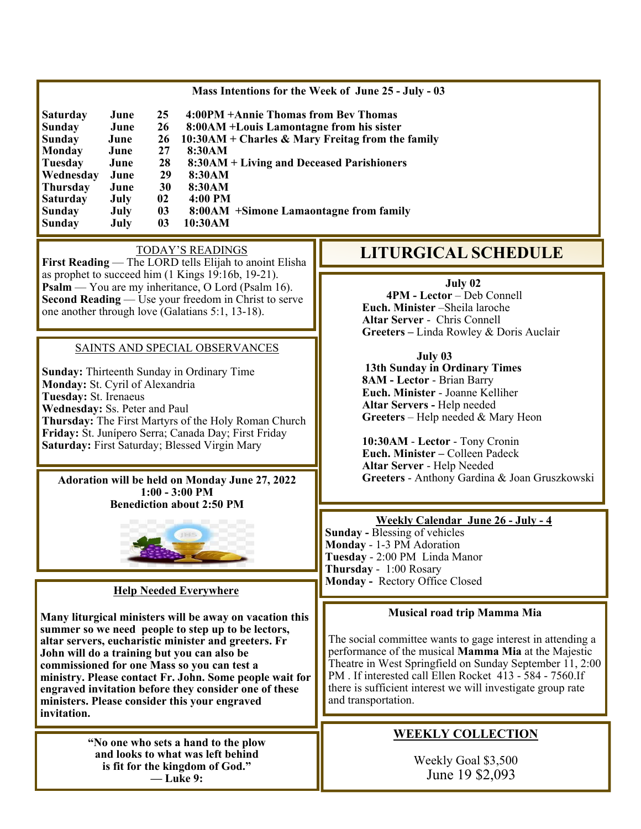|                 |      |    | Mass Intentions for the Week of June 25 - July - 03 |                   |
|-----------------|------|----|-----------------------------------------------------|-------------------|
| <b>Saturday</b> | June | 25 | 4:00PM +Annie Thomas from Bey Thomas                |                   |
| Sunday          | June | 26 | 8:00AM + Louis Lamontagne from his sister           |                   |
| <b>Sunday</b>   | June | 26 | $10:30AM + Charles & Mary Freitag from the family$  |                   |
| <b>Monday</b>   | June | 27 | 8:30AM                                              |                   |
| Tuesday         | June | 28 | 8:30AM + Living and Deceased Parishioners           |                   |
| Wednesday       | June | 29 | 8:30AM                                              |                   |
| <b>Thursday</b> | June | 30 | 8:30AM                                              |                   |
| <b>Saturday</b> | July | 02 | 4:00 PM                                             |                   |
| <b>Sunday</b>   | July | 03 | 8:00AM + Simone Lamaontagne from family             |                   |
| <b>Sunday</b>   | July | 03 | 10:30AM                                             |                   |
|                 |      |    | TODAY'S READINGS                                    | <b>LITURGICAL</b> |

**First Reading** — The LORD tells Elijah to anoint Elisha as prophet to succeed him (1 Kings 19:16b, 19-21). **Psalm** — You are my inheritance, O Lord (Psalm 16). **Second Reading** — Use your freedom in Christ to serve one another through love (Galatians 5:1, 13-18).

#### SAINTS AND SPECIAL OBSERVANCES

**Sunday:** Thirteenth Sunday in Ordinary Time **Monday:** St. Cyril of Alexandria **Tuesday:** St. Irenaeus **Wednesday:** Ss. Peter and Paul **Thursday:** The First Martyrs of the Holy Roman Church **Friday:** St. Junípero Serra; Canada Day; First Friday **Saturday:** First Saturday; Blessed Virgin Mary

**Adoration will be held on Monday June 27, 2022 1:00 - 3:00 PM Benediction about 2:50 PM** 



#### **Help Needed Everywhere**

**Many liturgical ministers will be away on vacation this summer so we need people to step up to be lectors, altar servers, eucharistic minister and greeters. Fr John will do a training but you can also be commissioned for one Mass so you can test a ministry. Please contact Fr. John. Some people wait for engraved invitation before they consider one of these ministers. Please consider this your engraved invitation.** 

> **"No one who sets a hand to the plow and looks to what was left behind is fit for the kingdom of God." — Luke 9:**

### **LITURGICAL SCHEDULE**

#### **July 02**

**4PM - Lector** – Deb Connell  **Euch. Minister** –Sheila laroche **Altar Server** - Chris Connell **Greeters –** Linda Rowley & Doris Auclair

#### **July 03**

 **13th Sunday in Ordinary Times 8AM - Lector** - Brian Barry **Euch. Minister** - Joanne Kelliher **Altar Servers -** Help needed **Greeters** – Help needed & Mary Heon

**10:30AM** - **Lector** - Tony Cronin **Euch. Minister –** Colleen Padeck **Altar Server** - Help Needed **Greeters** - Anthony Gardina & Joan Gruszkowski

#### **Weekly Calendar June 26 - July - 4**

**Sunday -** Blessing of vehicles **Monday** - 1-3 PM Adoration **Tuesday** - 2:00 PM Linda Manor **Thursday** - 1:00 Rosary **Monday -** Rectory Office Closed

#### **Musical road trip Mamma Mia**

The social committee wants to gage interest in attending a performance of the musical **Mamma Mia** at the Majestic Theatre in West Springfield on Sunday September 11, 2:00 PM . If interested call Ellen Rocket 413 - 584 - 7560.If there is sufficient interest we will investigate group rate and transportation.

#### **WEEKLY COLLECTION**

Weekly Goal \$3,500 June 19 \$2,093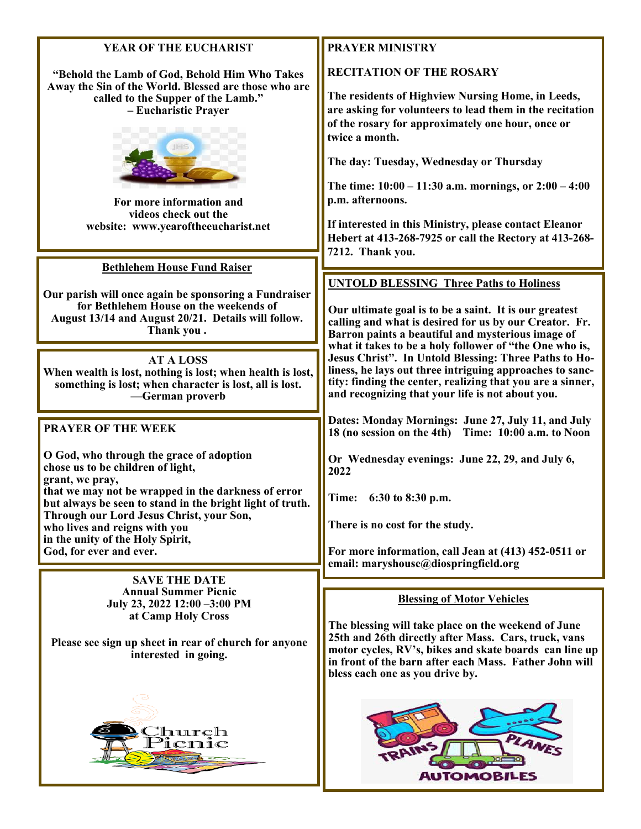#### **YEAR OF THE EUCHARIST**

**"Behold the Lamb of God, Behold Him Who Takes Away the Sin of the World. Blessed are those who are called to the Supper of the Lamb." – Eucharistic Prayer** 



**For more information and videos check out the website: www.yearoftheeucharist.net** 

**Bethlehem House Fund Raiser** 

**Our parish will once again be sponsoring a Fundraiser for Bethlehem House on the weekends of August 13/14 and August 20/21. Details will follow. Thank you .** 

**AT A LOSS When wealth is lost, nothing is lost; when health is lost, something is lost; when character is lost, all is lost. —German proverb** 

#### **PRAYER OF THE WEEK**

**O God, who through the grace of adoption chose us to be children of light, grant, we pray, that we may not be wrapped in the darkness of error but always be seen to stand in the bright light of truth. Through our Lord Jesus Christ, your Son, who lives and reigns with you in the unity of the Holy Spirit, God, for ever and ever.** 

> **SAVE THE DATE Annual Summer Picnic July 23, 2022 12:00 –3:00 PM at Camp Holy Cross**

**Please see sign up sheet in rear of church for anyone interested in going.** 



#### **PRAYER MINISTRY**

**RECITATION OF THE ROSARY** 

**The residents of Highview Nursing Home, in Leeds, are asking for volunteers to lead them in the recitation of the rosary for approximately one hour, once or twice a month.** 

**The day: Tuesday, Wednesday or Thursday** 

**The time: 10:00 – 11:30 a.m. mornings, or 2:00 – 4:00 p.m. afternoons.** 

**If interested in this Ministry, please contact Eleanor Hebert at 413-268-7925 or call the Rectory at 413-268- 7212. Thank you.** 

#### **UNTOLD BLESSING Three Paths to Holiness**

**Our ultimate goal is to be a saint. It is our greatest calling and what is desired for us by our Creator. Fr. Barron paints a beautiful and mysterious image of what it takes to be a holy follower of "the One who is, Jesus Christ". In Untold Blessing: Three Paths to Holiness, he lays out three intriguing approaches to sanctity: finding the center, realizing that you are a sinner, and recognizing that your life is not about you.** 

**Dates: Monday Mornings: June 27, July 11, and July 18 (no session on the 4th) Time: 10:00 a.m. to Noon** 

**Or Wednesday evenings: June 22, 29, and July 6, 2022** 

**Time: 6:30 to 8:30 p.m.** 

**There is no cost for the study.** 

**For more information, call Jean at (413) 452-0511 or email: maryshouse@diospringfield.org** 

#### **Blessing of Motor Vehicles**

**The blessing will take place on the weekend of June 25th and 26th directly after Mass. Cars, truck, vans motor cycles, RV's, bikes and skate boards can line up in front of the barn after each Mass. Father John will bless each one as you drive by.**